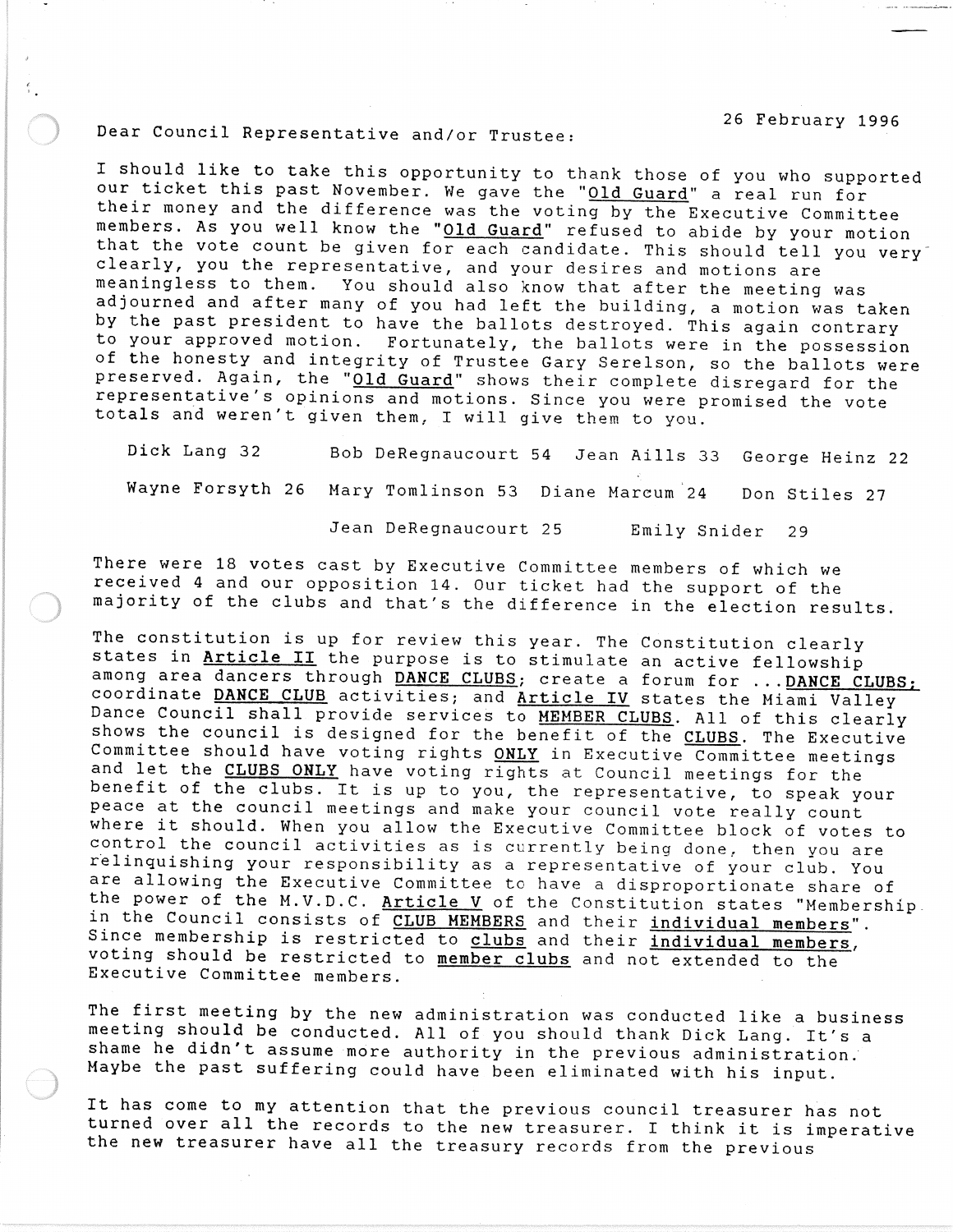26 February 1996

## Dear Council Representative and/or Trustee:

I should like to take this opportunity to thank those of you who supported our ticket this past November. We gave the "Old Guard" a real run for their money and the difference was the voting by the Executive Committee members. As you well know the "Old Guard" refused to abide by your motion that the vote count be given for each candidate. This should tell you very clearly, you the representative, and your desires and motions are meaningless to them. You should also know that after the meeting was adjourned and after many of you had left the building, a motion was taken by the past president to have the ballots destroyed. This again contrary to your approved motion. Fortunately, the ballots were in the possession of the honesty and integrity of Trustee Gary Serelson, so the ballots were preserved. Again, the "Old Guard" shows their complete disregard for the representative's opinions and motions. Since you were promised the vote totals and weren't given them, I will give them to you.

Dick Lang 32 Bob DeRegnaucourt 54 Jean Aills 33 George Heinz 22 Wayne Forsyth 26 Mary Tomlinson 53 Diane Marcum 24 Don Stiles 27

Jean DeRegnaucourt 25 Emily Snider 29

There were 18 votes cast by Executive Committee members of which we received 4 and our opposition 14. Our ticket had the support of the majority of the clubs and that's the difference in the election results.

The constitution is up for review this year. The Constitution clearly states in Article II the purpose is to stimulate an active fellowship among area dancers through DANCE CLUBS; create a forum for ... DANCE CLUBS; coordinate DANCE CLUB activities; and Article IV states the Miami Valley Dance Council shall provide services to MEMBER CLUBS. All of this clearly shows the council is designed for the benefit of the CLUBS. The Executive Committee should have voting rights ONLY in Executive Committee meetings and let the CLUBS ONLY have voting rights at Council meetings for the benefit of the clubs. It is up to you, the representative, to speak your peace at the council meetings and make your council vote really count where it should. When you allow the Executive Committee block of votes to control the council activities as is currently being done, then you are relinquishing your responsibility as a representative of your club. You are allowing the Executive Committee to have a disproportionate share of the power of the M.V.D.C. Article V of the Constitution states "Membership. in the Council consists of CLUB MEMBERS and their individual members". Since membership is restricted to clubs and their individual members, voting should be restricted to member clubs and not extended to the Executive Committee members.

The first meeting by the new administration was conducted like a business meeting should be conducted. All of you should thank Dick Lang. It's a shame he didn't assume more authority in the previous administration. Maybe the past suffering could have been eliminated with his input.

It has come to my attention that the previous council treasurer has not turned over all the records to the new treasurer. I think it is imperative the new treasurer have all the treasury records from the previous